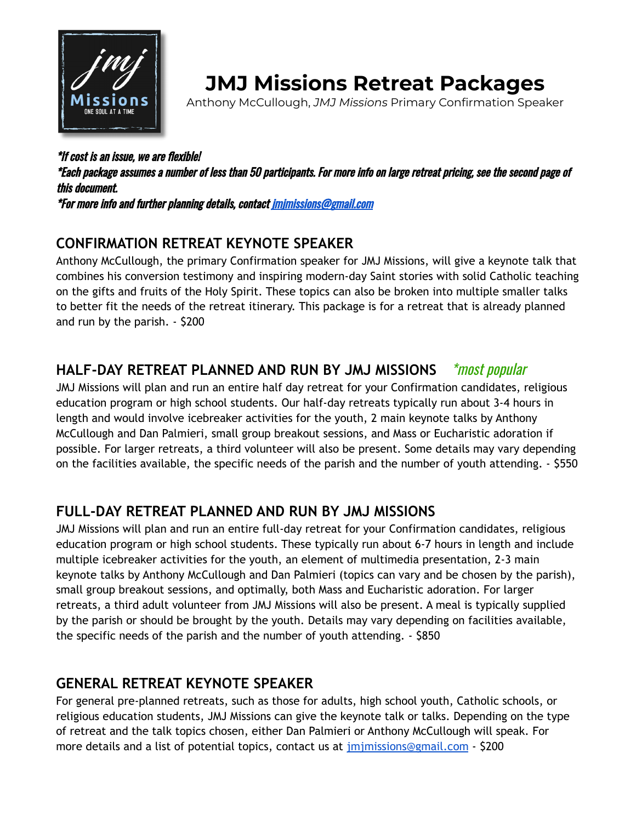

# **JMJ Missions Retreat Packages**

Anthony McCullough, *JMJ Missions* Primary Confirmation Speaker

\*If cost is an issue, we are flexible! \*Each package assumes <sup>a</sup> number of less than 50 participants. For more info on large retreat pricing, see the second page of this document. \*For more info and further planning details, contact [jmjmissions@gmail.com](mailto:jmjmissions@gmail.com)

### **CONFIRMATION RETREAT KEYNOTE SPEAKER**

Anthony McCullough, the primary Confirmation speaker for JMJ Missions, will give a keynote talk that combines his conversion testimony and inspiring modern-day Saint stories with solid Catholic teaching on the gifts and fruits of the Holy Spirit. These topics can also be broken into multiple smaller talks to better fit the needs of the retreat itinerary. This package is for a retreat that is already planned and run by the parish. - \$200

### **HALF-DAY RETREAT PLANNED AND RUN BY JMJ MISSIONS** \*most popular

JMJ Missions will plan and run an entire half day retreat for your Confirmation candidates, religious education program or high school students. Our half-day retreats typically run about 3-4 hours in length and would involve icebreaker activities for the youth, 2 main keynote talks by Anthony McCullough and Dan Palmieri, small group breakout sessions, and Mass or Eucharistic adoration if possible. For larger retreats, a third volunteer will also be present. Some details may vary depending on the facilities available, the specific needs of the parish and the number of youth attending. - \$550

### **FULL-DAY RETREAT PLANNED AND RUN BY JMJ MISSIONS**

JMJ Missions will plan and run an entire full-day retreat for your Confirmation candidates, religious education program or high school students. These typically run about 6-7 hours in length and include multiple icebreaker activities for the youth, an element of multimedia presentation, 2-3 main keynote talks by Anthony McCullough and Dan Palmieri (topics can vary and be chosen by the parish), small group breakout sessions, and optimally, both Mass and Eucharistic adoration. For larger retreats, a third adult volunteer from JMJ Missions will also be present. A meal is typically supplied by the parish or should be brought by the youth. Details may vary depending on facilities available, the specific needs of the parish and the number of youth attending. - \$850

#### **GENERAL RETREAT KEYNOTE SPEAKER**

For general pre-planned retreats, such as those for adults, high school youth, Catholic schools, or religious education students, JMJ Missions can give the keynote talk or talks. Depending on the type of retreat and the talk topics chosen, either Dan Palmieri or Anthony McCullough will speak. For more details and a list of potential topics, contact us at *[jmjmissions@gmail.com](mailto:jmjmissions@gmail.com)* - \$200